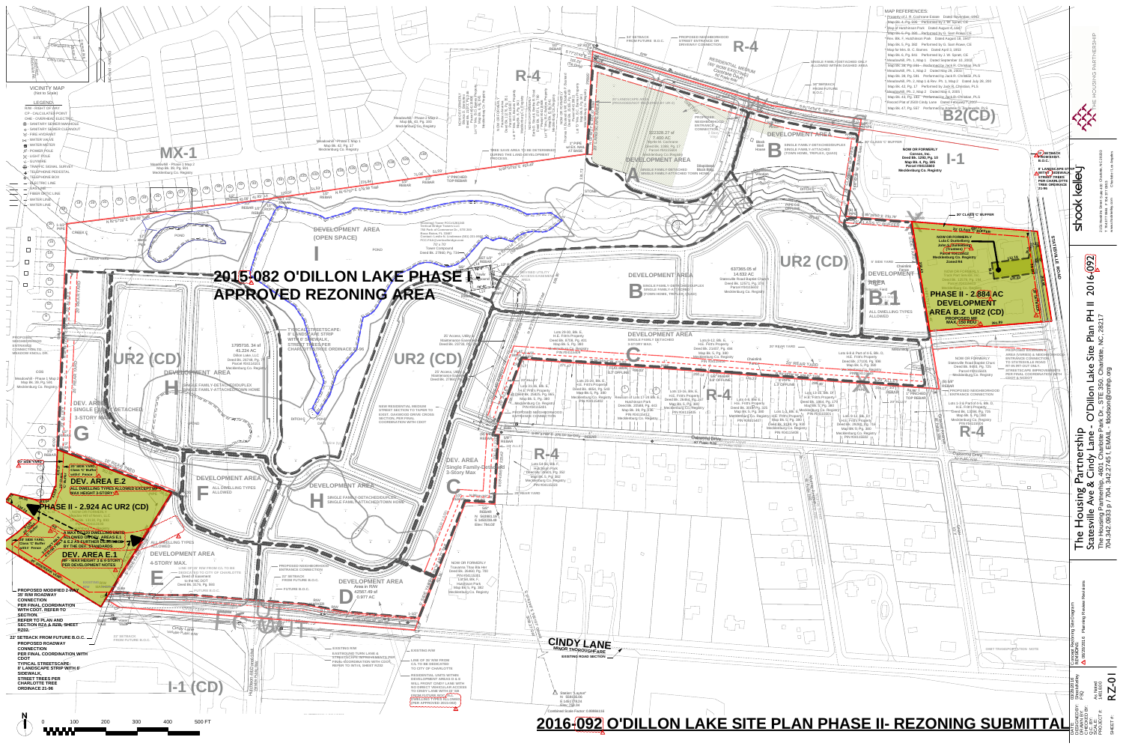